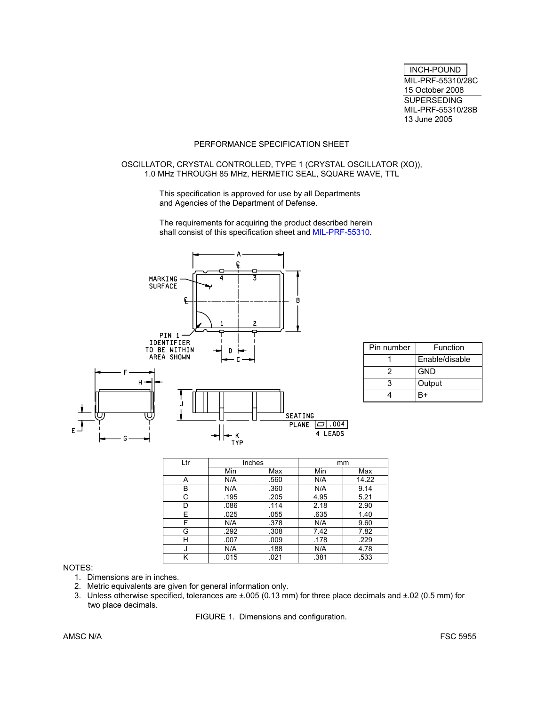INCH-POUND MIL-PRF-55310/28C 15 October 2008 **SUPERSEDING** MIL-PRF-55310/28B 13 June 2005

# PERFORMANCE SPECIFICATION SHEET

# OSCILLATOR, CRYSTAL CONTROLLED, TYPE 1 (CRYSTAL OSCILLATOR (XO)), 1.0 MHz THROUGH 85 MHz, HERMETIC SEAL, SQUARE WAVE, TTL

This specification is approved for use by all Departments and Agencies of the Department of Defense.

The requirements for acquiring the product described herein shall consist of this specification sheet and MIL-PRF-55310.



| Pin number | Function       |
|------------|----------------|
|            | Enable/disable |
|            | <b>GND</b>     |
| З          | Output         |
|            | R+             |

| Ltr |      | Inches | mm   |       |  |
|-----|------|--------|------|-------|--|
|     | Min  | Max    | Min  | Max   |  |
| A   | N/A  | .560   | N/A  | 14.22 |  |
| B   | N/A  | .360   | N/A  | 9.14  |  |
| C   | .195 | .205   | 4.95 | 5.21  |  |
| D   | .086 | .114   | 2.18 | 2.90  |  |
| E   | .025 | .055   | .635 | 1.40  |  |
| F   | N/A  | .378   | N/A  | 9.60  |  |
| G   | .292 | .308   | 7.42 | 7.82  |  |
| н   | .007 | .009   | .178 | .229  |  |
|     | N/A  | .188   | N/A  | 4.78  |  |
| κ   | .015 | .021   | .381 | .533  |  |

# NOTES:

- 1. Dimensions are in inches.
- 2. Metric equivalents are given for general information only.
- 3. Unless otherwise specified, tolerances are ±.005 (0.13 mm) for three place decimals and ±.02 (0.5 mm) for two place decimals.

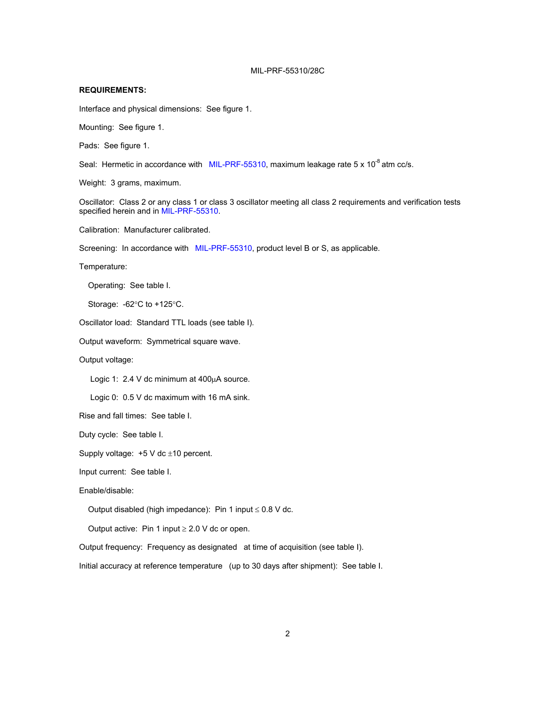### **REQUIREMENTS:**

Interface and physical dimensions: See figure 1.

Mounting: See figure 1.

Pads: See figure 1.

Seal: Hermetic in accordance with MIL-PRF-55310, maximum leakage rate  $5 \times 10^{-8}$  atm cc/s.

Weight: 3 grams, maximum.

Oscillator: Class 2 or any class 1 or class 3 oscillator meeting all class 2 requirements and verification tests specified herein and in MIL-PRF-55310.

Calibration: Manufacturer calibrated.

Screening: In accordance with MIL-PRF-55310, product level B or S, as applicable.

Temperature:

Operating: See table I.

Storage: -62°C to +125°C.

Oscillator load: Standard TTL loads (see table I).

Output waveform: Symmetrical square wave.

Output voltage:

Logic 1:  $2.4$  V dc minimum at  $400\mu$ A source.

Logic 0: 0.5 V dc maximum with 16 mA sink.

Rise and fall times: See table I.

Duty cycle: See table I.

Supply voltage:  $+5$  V dc  $\pm$ 10 percent.

Input current: See table I.

Enable/disable:

Output disabled (high impedance): Pin 1 input  $\leq$  0.8 V dc.

Output active: Pin 1 input  $\geq 2.0$  V dc or open.

Output frequency: Frequency as designated at time of acquisition (see table I).

Initial accuracy at reference temperature (up to 30 days after shipment): See table I.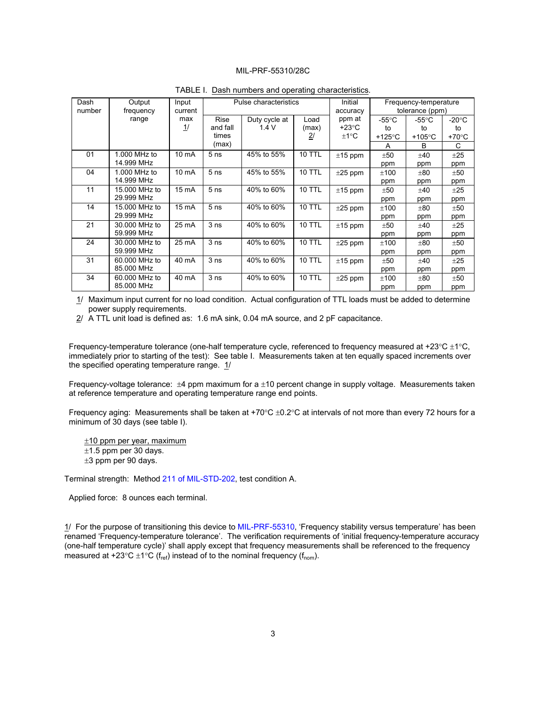| Dash<br>number | Output<br>frequency        | Input<br>current     | Pulse characteristics |                       |                | Initial<br>accuracy       |                        | Frequency-temperature<br>tolerance (ppm) |                       |
|----------------|----------------------------|----------------------|-----------------------|-----------------------|----------------|---------------------------|------------------------|------------------------------------------|-----------------------|
|                | range                      | max<br>$\frac{1}{2}$ | Rise<br>and fall      | Duty cycle at<br>1.4V | Load<br>(max)  | ppm at<br>$+23^{\circ}$ C | -55 $\degree$ C        | -55 $\mathrm{^{\circ}C}$                 | $-20^{\circ}$ C       |
|                |                            |                      | times                 |                       | $\overline{2}$ | $±1^{\circ}C$             | to<br>+125 $\degree$ C | to<br>+105 $\degree$ C                   | to<br>$+70^{\circ}$ C |
|                |                            |                      | (max)                 |                       |                |                           | A                      | B                                        | C                     |
| 01             | 1.000 MHz to<br>14.999 MHz | 10 mA                | 5 <sub>ns</sub>       | 45% to 55%            | <b>10 TTL</b>  | $±15$ ppm                 | ±50<br>ppm             | ±40<br>ppm                               | ±25<br>ppm            |
| 04             | 1.000 MHz to               | 10 mA                | 5 <sub>ns</sub>       | 45% to 55%            | <b>10 TTL</b>  | $±25$ ppm                 | ±100                   | ±80                                      | ±50                   |
|                | 14.999 MHz                 |                      |                       |                       |                |                           | ppm                    | ppm                                      | ppm                   |
| 11             | 15.000 MHz to              | 15 mA                | 5 <sub>ns</sub>       | 40% to 60%            | <b>10 TTL</b>  | $±15$ ppm                 | ±50                    | ±40                                      | ±25                   |
|                | 29.999 MHz                 |                      |                       |                       |                |                           | ppm                    | ppm                                      | ppm                   |
| 14             | 15.000 MHz to              | 15 mA                | 5 <sub>ns</sub>       | 40% to 60%            | <b>10 TTL</b>  | $±25$ ppm                 | ±100                   | ±80                                      | ±50                   |
|                | 29.999 MHz                 |                      |                       |                       |                |                           | ppm                    | ppm                                      | ppm                   |
| 21             | 30.000 MHz to              | 25 mA                | 3 <sub>ns</sub>       | 40% to 60%            | <b>10 TTL</b>  | $±15$ ppm                 | ±50                    | ±40                                      | ±25                   |
|                | 59.999 MHz                 |                      |                       |                       |                |                           | ppm                    | ppm                                      | ppm                   |
| 24             | 30,000 MHz to              | 25 mA                | 3 <sub>ns</sub>       | 40% to 60%            | <b>10 TTL</b>  | $\pm 25$ ppm              | ±100                   | ±80                                      | ±50                   |
|                | 59.999 MHz                 |                      |                       |                       |                |                           | ppm                    | ppm                                      | ppm                   |
| 31             | 60,000 MHz to              | 40 mA                | 3 <sub>ns</sub>       | 40% to 60%            | <b>10 TTL</b>  | $±15$ ppm                 | ±50                    | ±40                                      | ±25                   |
|                | 85.000 MHz                 |                      |                       |                       |                |                           | ppm                    | ppm                                      | ppm                   |
| 34             | 60,000 MHz to              | 40 mA                | 3 <sub>ns</sub>       | 40% to 60%            | <b>10 TTL</b>  | $\pm 25$ ppm              | ±100                   | ±80                                      | ±50                   |
|                | 85.000 MHz                 |                      |                       |                       |                |                           | ppm                    | ppm                                      | ppm                   |

TABLE I. Dash numbers and operating characteristics.

1/ Maximum input current for no load condition. Actual configuration of TTL loads must be added to determine power supply requirements.

 $2/$  A TTL unit load is defined as: 1.6 mA sink, 0.04 mA source, and 2 pF capacitance.

 Frequency-temperature tolerance (one-half temperature cycle, referenced to frequency measured at +23°C ±1°C, immediately prior to starting of the test): See table I. Measurements taken at ten equally spaced increments over the specified operating temperature range. 1/

 Frequency-voltage tolerance: ±4 ppm maximum for a ±10 percent change in supply voltage. Measurements taken at reference temperature and operating temperature range end points.

Frequency aging: Measurements shall be taken at +70 $\degree$ C ±0.2 $\degree$ C at intervals of not more than every 72 hours for a minimum of 30 days (see table I).

 $±10$  ppm per year, maximum  $\pm$ 1.5 ppm per 30 days. ±3 ppm per 90 days.

Terminal strength: Method 211 of MIL-STD-202, test condition A.

Applied force: 8 ounces each terminal.

1/ For the purpose of transitioning this device to MIL-PRF-55310, 'Frequency stability versus temperature' has been renamed 'Frequency-temperature tolerance'. The verification requirements of 'initial frequency-temperature accuracy (one-half temperature cycle)' shall apply except that frequency measurements shall be referenced to the frequency measured at +23°C  $\pm$ 1°C (f<sub>ref</sub>) instead of to the nominal frequency (f<sub>nom</sub>).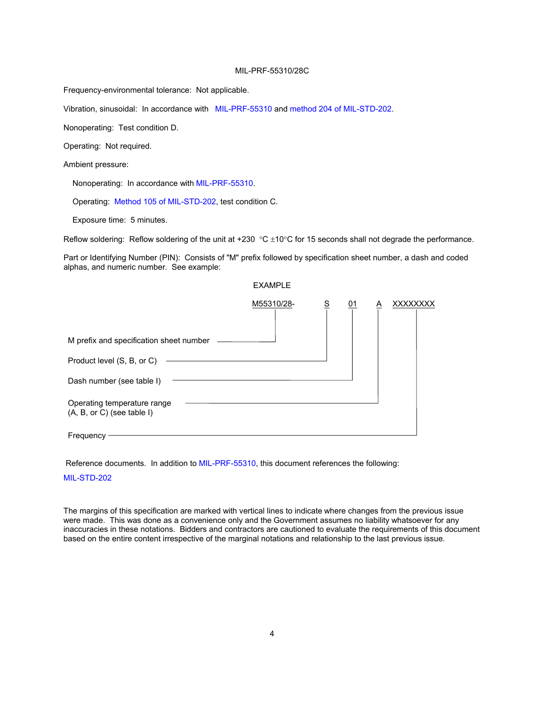Frequency-environmental tolerance: Not applicable.

Vibration, sinusoidal: In accordance with MIL-PRF-55310 and method 204 of MIL-STD-202.

Nonoperating: Test condition D.

Operating: Not required.

Ambient pressure:

Nonoperating: In accordance with MIL-PRF-55310.

Operating: Method 105 of MIL-STD-202, test condition C.

Exposure time: 5 minutes.

Reflow soldering: Reflow soldering of the unit at +230  $\degree$ C  $\pm$ 10 $\degree$ C for 15 seconds shall not degrade the performance.

Part or Identifying Number (PIN): Consists of "M" prefix followed by specification sheet number, a dash and coded alphas, and numeric number. See example:

|                                                             | <b>EXAMPLE</b> |          |           |   |          |
|-------------------------------------------------------------|----------------|----------|-----------|---|----------|
|                                                             | M55310/28-     | <u>s</u> | <u>01</u> | Α | XXXXXXXX |
| M prefix and specification sheet number                     |                |          |           |   |          |
| Product level (S, B, or C)                                  |                |          |           |   |          |
| Dash number (see table I)                                   |                |          |           |   |          |
| Operating temperature range<br>$(A, B, or C)$ (see table I) |                |          |           |   |          |
| Frequency                                                   |                |          |           |   |          |

Reference documents. In addition to MIL-PRF-55310, this document references the following:

### MIL-STD-202

The margins of this specification are marked with vertical lines to indicate where changes from the previous issue were made. This was done as a convenience only and the Government assumes no liability whatsoever for any inaccuracies in these notations. Bidders and contractors are cautioned to evaluate the requirements of this document based on the entire content irrespective of the marginal notations and relationship to the last previous issue.